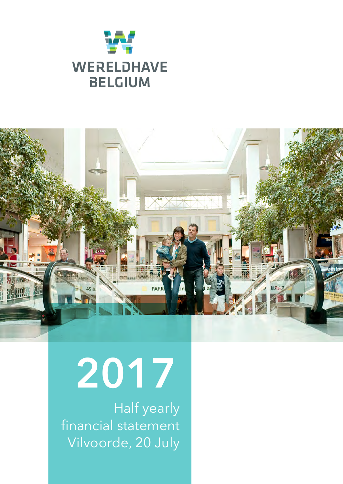



# **2017**

Half yearly financial statement Vilvoorde, 20 July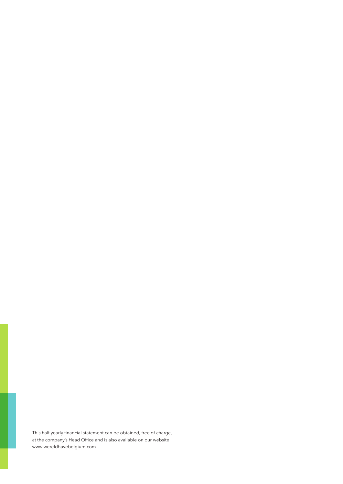This half yearly financial statement can be obtained, free of charge, at the company's Head Office and is also available on our website www.wereldhavebelgium.com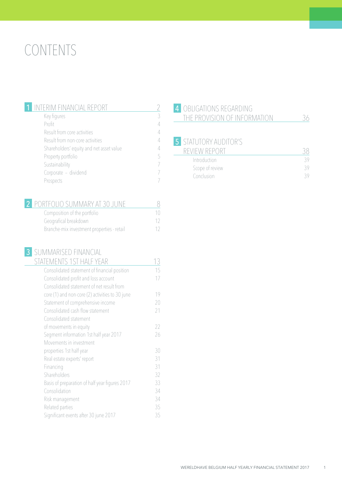## CONTENTS

| ERIM FINANCIAL REPORT                           | $\overline{2}$ |
|-------------------------------------------------|----------------|
| Key figures                                     | 3              |
| Profit                                          | 4              |
| Result from core activities                     | 4              |
| Result from non-core activities                 | 4              |
| Shareholders' equity and net asset value        | 4              |
| Property portfolio                              | 5              |
| Sustainability                                  | $\frac{1}{2}$  |
| Corporate - dividend                            |                |
| Prospects                                       |                |
| <u>PORTFOLIO SUMMARY AT 30 JUNE</u>             | 8              |
| Composition of the portfolio                    | 10             |
| Geografical breakdown                           | 12             |
| Branche-mix investment properties - retail      | 12             |
|                                                 |                |
| SUMMARISED FINANCIAL<br>$\overline{3}$          |                |
| STATEMENTS 1ST HALF YEAR                        | 13             |
| Consolidated statement of financial position    | 15             |
| Consolidated profit and loss account            | 17             |
| Consolidated statement of net result from       |                |
| core (1) and non-core (2) activities to 30 june | 19             |
| Statement of comprehensive income               | 20             |
| Consolidated cash flow statement                | 21             |
| Consolidated statement                          |                |
| of movements in equity                          | 22             |
| Segment information 1st half year 2017          | 26             |
| Movements in investment                         |                |
| properties 1st half year                        | 30             |
| Real estate experts' report                     | 31             |
| Financing                                       | 31             |
| Shareholders                                    | 32             |
| Basis of preparation of half year figures 2017  | 33             |
| Consolidation                                   | 34             |
| Risk management                                 | 34             |
| Related parties                                 | 35             |
| Significant events after 30 june 2017           | 35             |

## [4](#page-37-0) [OBLIGATIONS REGARDING](#page-37-0) [THE PROVISION OF INFORMATION 36](#page-37-0)

## [5](#page-39-0) [STATUTORY AUDITOR'S](#page-39-0)

| REVIEW REPORT   |  |
|-----------------|--|
| Introduction    |  |
| Scope of review |  |
| Conclusion      |  |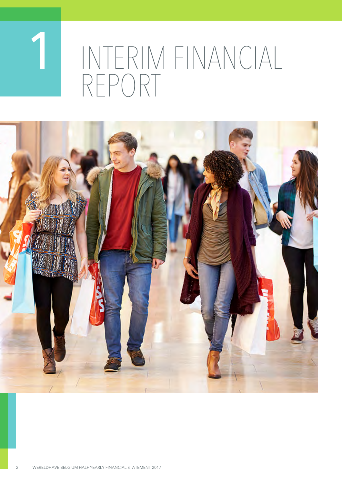## INTERIM FINANCIAL REPORT



<span id="page-3-0"></span>1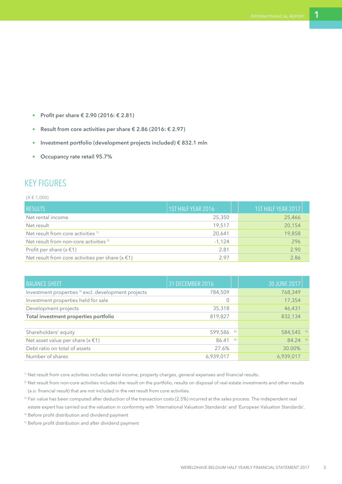- <span id="page-4-1"></span>• **Profit per share € 2.90 (2016: € 2.81)**
- **Result from core activities per share € 2.86 (2016: € 2.97)**
- **Investment portfolio (development projects included) € 832.1 mln**
- **Occupancy rate retail 95.7%**

## <span id="page-4-0"></span>KEY FIGURES

#### (X € 1,000)

| <b>RESULTS</b>                                        | 1ST HALF YEAR 2016 | 1ST HALF YEAR 2017 |
|-------------------------------------------------------|--------------------|--------------------|
| Net rental income                                     | 25,350             | 25,466             |
| Net result                                            | 19,517             | 20,154             |
| Net result from core activities <sup>1)</sup>         | 20,641             | 19,858             |
| Net result from non-core activities <sup>2)</sup>     | $-1,124$           | 296                |
| Profit per share $(x \in 1)$                          | 2.81               | 2.90               |
| Net result from core activities per share $(x \in 1)$ | 2.97               | 2.86               |

| <b>BALANCE SHEET</b>                                           | 31 DECEMBER 2016 |    | 30 JUNE 2017          |
|----------------------------------------------------------------|------------------|----|-----------------------|
| Investment properties <sup>3)</sup> excl. development projects | 784,509          |    | 768,349               |
| Investment properties held for sale                            | $\Omega$         |    | 17,354                |
| Development projects                                           | 35,318           |    | 46,431                |
| Total investment properties portfolio                          | 819,827          |    | 832,134               |
|                                                                |                  |    |                       |
| Shareholders' equity                                           | 599,586          | 4) | 584,545 <sup>5)</sup> |
| Net asset value per share $(x \in 1)$                          | 86.41            | 4) | $84.24$ <sup>5)</sup> |
| Debt ratio on total of assets                                  | 27.6%            |    | 30.00%                |
| Number of shares                                               | 6,939,017        |    | 6.939.017             |

<sup>1)</sup> Net result from core activities includes rental income, property charges, general expenses and financial results.

- $^{\rm 2}$  Net result from non-core activities includes the result on the portfolio, results on disposal of real estate investments and other results (a.o. financial result) that are not included in the net result from core activities.
- $^{\rm 3}$  Fair value has been computed after deduction of the transaction costs (2.5%) incurred at the sales process. The independent real estate expert has carried out the valuation in conformity with 'International Valuation Standards' and 'European Valuation Standards'.

<sup>4)</sup> Before profit distribution and dividend payment

<sup>5)</sup> Before profit distribution and after dividend payment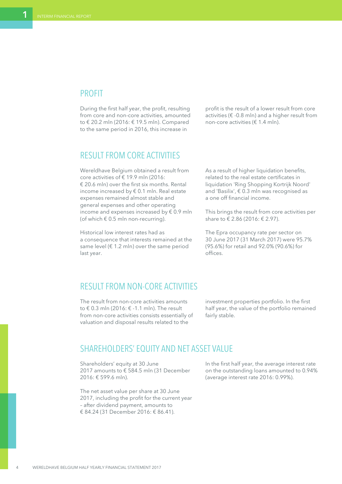### <span id="page-5-1"></span><span id="page-5-0"></span>PROFIT

During the first half year, the profit, resulting from core and non-core activities, amounted to € 20.2 mln (2016: € 19.5 mln). Compared to the same period in 2016, this increase in

profit is the result of a lower result from core activities ( $\epsilon$  -0.8 mln) and a higher result from non-core activities ( $\in$  1.4 mln).

### <span id="page-5-2"></span>RESULT FROM CORE ACTIVITIES

Wereldhave Belgium obtained a result from core activities of € 19.9 mln (2016: € 20.6 mln) over the first six months. Rental income increased by € 0.1 mln. Real estate expenses remained almost stable and general expenses and other operating income and expenses increased by  $\epsilon$  0.9 mln (of which  $\in$  0.5 mln non-recurring).

Historical low interest rates had as a consequence that interests remained at the same level ( $\epsilon$  1.2 mln) over the same period last year.

As a result of higher liquidation benefits, related to the real estate certificates in liquidation 'Ring Shopping Kortrijk Noord' and 'Basilix', € 0.3 mln was recognised as a one off financial income.

This brings the result from core activities per share to € 2.86 (2016: € 2.97).

The Epra occupancy rate per sector on 30 June 2017 (31 March 2017) were 95.7% (95.6%) for retail and 92.0% (90.6%) for offices.

### <span id="page-5-3"></span>RESULT FROM NON-CORE ACTIVITIES

The result from non-core activities amounts to € 0.3 mln (2016: € -1.1 mln). The result from non-core activities consists essentially of valuation and disposal results related to the

investment properties portfolio. In the first half year, the value of the portfolio remained fairly stable.

#### <span id="page-5-4"></span>SHAREHOLDERS' EQUITY AND NET ASSET VALUE

Shareholders' equity at 30 June 2017 amounts to € 584.5 mln (31 December 2016: € 599.6 mln).

The net asset value per share at 30 June 2017, including the profit for the current year – after dividend payment, amounts to € 84.24 (31 December 2016: € 86.41).

In the first half year, the average interest rate on the outstanding loans amounted to 0.94% (average interest rate 2016: 0.99%).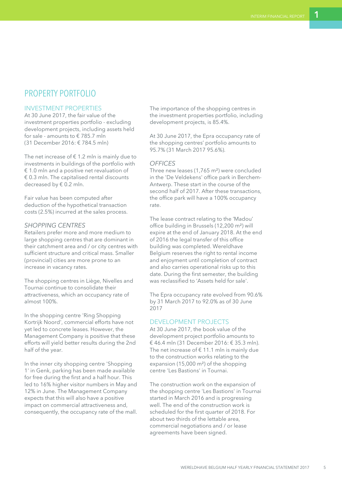## <span id="page-6-1"></span><span id="page-6-0"></span>PROPERTY PORTFOLIO

#### INVESTMENT PROPERTIES

At 30 June 2017, the fair value of the investment properties portfolio - excluding development projects, including assets held for sale - amounts to  $\epsilon$  785.7 mln (31 December 2016: € 784.5 mln)

The net increase of  $\epsilon$  1.2 mln is mainly due to investments in buildings of the portfolio with € 1.0 mln and a positive net revaluation of € 0.3 mln. The capitalised rental discounts decreased by € 0.2 mln.

Fair value has been computed after deduction of the hypothetical transaction costs (2.5%) incurred at the sales process.

#### *SHOPPING CENTRES*

Retailers prefer more and more medium to large shopping centres that are dominant in their catchment area and / or city centres with sufficient structure and critical mass. Smaller (provincial) cities are more prone to an increase in vacancy rates.

The shopping centres in Liège, Nivelles and Tournai continue to consolidate their attractiveness, which an occupancy rate of almost 100%.

In the shopping centre 'Ring Shopping Kortrijk Noord', commercial efforts have not yet led to concrete leases. However, the Management Company is positive that these efforts will yield better results during the 2nd half of the year.

In the inner city shopping centre 'Shopping 1' in Genk, parking has been made available for free during the first and a half hour. This led to 16% higher visitor numbers in May and 12% in June. The Management Company expects that this will also have a positive impact on commercial attractiveness and, consequently, the occupancy rate of the mall. The importance of the shopping centres in the investment properties portfolio, including development projects, is 85.4%.

At 30 June 2017, the Epra occupancy rate of the shopping centres' portfolio amounts to 95.7% (31 March 2017 95.6%).

#### *OFFICES*

Three new leases (1,765 m²) were concluded in the 'De Veldekens' office park in Berchem-Antwerp. These start in the course of the second half of 2017. After these transactions, the office park will have a 100% occupancy rate.

The lease contract relating to the 'Madou' office building in Brussels (12,200 m²) will expire at the end of January 2018. At the end of 2016 the legal transfer of this office building was completed. Wereldhave Belgium reserves the right to rental income and enjoyment until completion of contract and also carries operational risks up to this date. During the first semester, the building was reclassified to 'Assets held for sale'.

The Epra occupancy rate evolved from 90.6% by 31 March 2017 to 92.0% as of 30 June 2017

#### DEVELOPMENT PROJECTS

At 30 June 2017, the book value of the development project portfolio amounts to € 46.4 mln (31 December 2016: € 35.3 mln). The net increase of  $\epsilon$  11.1 mln is mainly due to the construction works relating to the expansion (15,000 m²) of the shopping centre 'Les Bastions' in Tournai.

The construction work on the expansion of the shopping centre 'Les Bastions' in Tournai started in March 2016 and is progressing well. The end of the construction work is scheduled for the first quarter of 2018. For about two thirds of the lettable area, commercial negotiations and / or lease agreements have been signed.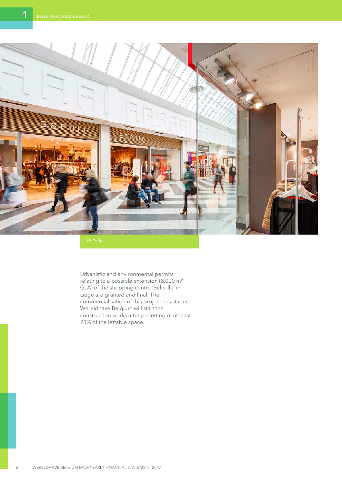

Urbanistic and environmental permits relating to a possible extension (8,000 m² GLA) of the shopping centre 'Belle-Ile' in Liège are granted and final. The commercialisation of this project has started. Wereldhave Belgium will start the construction works after preletting of at least 70% of the lettable space.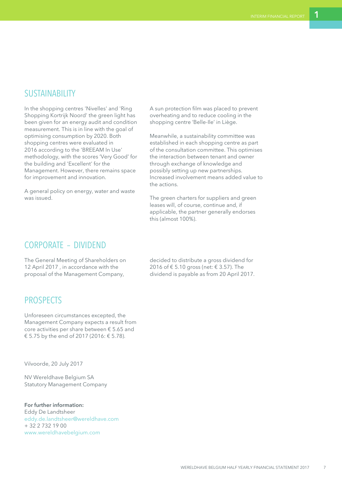## <span id="page-8-1"></span><span id="page-8-0"></span>SUSTAINABILITY

In the shopping centres 'Nivelles' and 'Ring Shopping Kortrijk Noord' the green light has been given for an energy audit and condition measurement. This is in line with the goal of optimising consumption by 2020. Both shopping centres were evaluated in 2016 according to the 'BREEAM In Use' methodology, with the scores 'Very Good' for the building and 'Excellent' for the Management. However, there remains space for improvement and innovation.

A general policy on energy, water and waste was issued.

A sun protection film was placed to prevent overheating and to reduce cooling in the shopping centre 'Belle-Ile' in Liège.

Meanwhile, a sustainability committee was established in each shopping centre as part of the consultation committee. This optimises the interaction between tenant and owner through exchange of knowledge and possibly setting up new partnerships. Increased involvement means added value to the actions.

The green charters for suppliers and green leases will, of course, continue and, if applicable, the partner generally endorses this (almost 100%).

## <span id="page-8-2"></span>CORPORATE – DIVIDEND

The General Meeting of Shareholders on 12 April 2017 , in accordance with the proposal of the Management Company,

decided to distribute a gross dividend for 2016 of € 5.10 gross (net: € 3.57). The dividend is payable as from 20 April 2017.

## <span id="page-8-3"></span>**PROSPECTS**

Unforeseen circumstances excepted, the Management Company expects a result from core activities per share between € 5.65 and € 5.75 by the end of 2017 (2016: € 5.78).

Vilvoorde, 20 July 2017

NV Wereldhave Belgium SA Statutory Management Company

**For further information:** Eddy De Landtsheer eddy.de.landtsheer@wereldhave.com + 32 2 732 19 00 www.wereldhavebelgium.com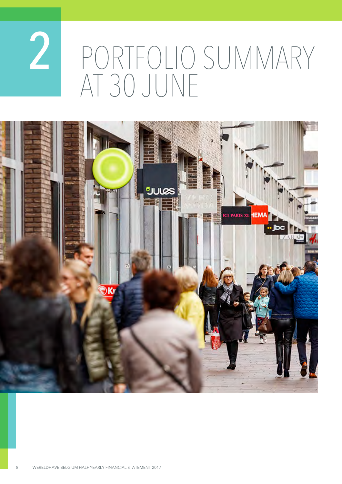<span id="page-9-0"></span>2

## PORTFOLIO SUMMARY AT 30 JUNE

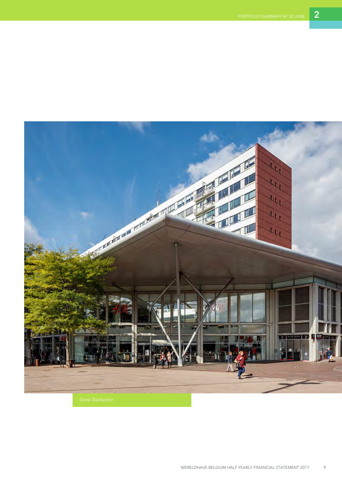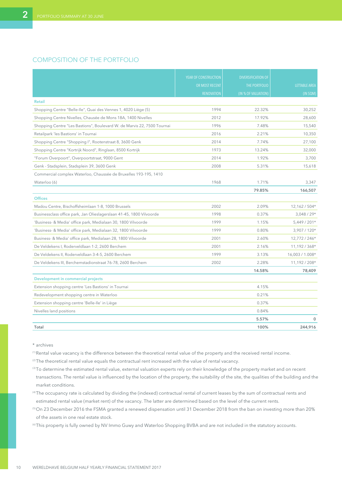#### <span id="page-11-1"></span><span id="page-11-0"></span>COMPOSITION OF THE PORTFOLIO

|                                                                         | YEAR OF CONSTRUCTION | <b>DIVERSIFICATION OF</b> |                 |
|-------------------------------------------------------------------------|----------------------|---------------------------|-----------------|
|                                                                         | OR MOST RECENT       | THE PORTFOLIO             | LETTABLE AREA   |
|                                                                         | <b>RENOVATION</b>    | (IN % OF VALUATION)       | (IN SOM)        |
| <b>Retail</b>                                                           |                      |                           |                 |
| Shopping Centre "Belle-Ile", Quai des Vennes 1, 4020 Liège (5)          | 1994                 | 22.32%                    | 30,252          |
| Shopping Centre Nivelles, Chausée de Mons 18A, 1400 Nivelles            | 2012                 | 17.92%                    | 28,600          |
| Shopping Centre "Les Bastions", Boulevard W. de Marvis 22, 7500 Tournai | 1996                 | 7.48%                     | 15,540          |
| Retailpark 'les Bastions' in Tournai                                    | 2016                 | 2.21%                     | 10,350          |
| Shopping Centre "Shopping I", Rootenstraat 8, 3600 Genk                 | 2014                 | 7.74%                     | 27,100          |
| Shopping Centre "Kortrijk Noord", Ringlaan, 8500 Kortrijk               | 1973                 | 13.24%                    | 32,000          |
| "Forum Overpoort", Overpoortstraat, 9000 Gent                           | 2014                 | 1.92%                     | 3,700           |
| Genk - Stadsplein, Stadsplein 39, 3600 Genk                             | 2008                 | 5.31%                     | 15,618          |
| Commercial complex Waterloo, Chaussée de Bruxelles 193-195, 1410        |                      |                           |                 |
| Waterloo (6)                                                            | 1968                 | 1.71%                     | 3,347           |
|                                                                         |                      | 79.85%                    | 166,507         |
| <b>Offices</b>                                                          |                      |                           |                 |
| Madou Centre, Bischoffsheimlaan 1-8, 1000 Brussels                      | 2002                 | 2.09%                     | 12,162 / 504*   |
| Businessclass office park, Jan Olieslagerslaan 41-45, 1800 Vilvoorde    | 1998                 | 0.37%                     | $3,048/29*$     |
| 'Business- & Media' office park, Medialaan 30, 1800 Vilvoorde           | 1999                 | 1.15%                     | $5,449/201*$    |
| 'Business- & Media' office park, Medialaan 32, 1800 Vilvoorde           | 1999                 | 0.80%                     | $3,907/120*$    |
| Business- & Media' office park, Medialaan 28, 1800 Vilvoorde            | 2001                 | 2.60%                     | 12,772 / 246*   |
| De Veldekens I, Roderveldlaan 1-2, 2600 Berchem                         | 2001                 | 2.16%                     | 11,192 / 368*   |
| De Veldekens II, Roderveldlaan 3-4-5, 2600 Berchem                      | 1999                 | 3.13%                     | 16,003 / 1.008* |
| De Veldekens III, Berchemstadionstraat 76-78, 2600 Berchem              | 2002                 | 2.28%                     | 11,192 / 208*   |
|                                                                         |                      | 14.58%                    | 78,409          |
| Development in commercial projects                                      |                      |                           |                 |
| Extension shopping centre 'Les Bastions' in Tournai                     |                      | 4.15%                     |                 |
| Redevelopment shopping centre in Waterloo                               |                      | 0.21%                     |                 |
| Extension shopping centre 'Belle-Ile' in Liège                          |                      | 0.37%                     |                 |
| Nivelles land positions                                                 |                      | 0.84%                     |                 |
|                                                                         |                      | 5.57%                     | $\mathbf{0}$    |
| Total                                                                   |                      | 100%                      | 244,916         |

\* archives

<sup>(1)</sup> Rental value vacancy is the difference between the theoretical rental value of the property and the received rental income.

<sup>(2)</sup> The theoretical rental value equals the contractual rent increased with the value of rental vacancy.

 $^\text{\tiny{(3)}}$ To determine the estimated rental value, external valuation experts rely on their knowledge of the property market and on recent transactions. The rental value is influenced by the location of the property, the suitability of the site, the qualities of the building and the market conditions.

 $\sp{4}$ The occupancy rate is calculated by dividing the (indexed) contractual rental of current leases by the sum of contractual rents and estimated rental value (market rent) of the vacancy. The latter are determined based on the level of the current rents.

 $\,$  On 23 December 2016 the FSMA granted a renewed dispensation until 31 December 2018 from the ban on investing more than 20% of the assets in one real estate stock.

This property is fully owned by NV Immo Guwy and Waterloo Shopping BVBA and are not included in the statutory accounts. (6)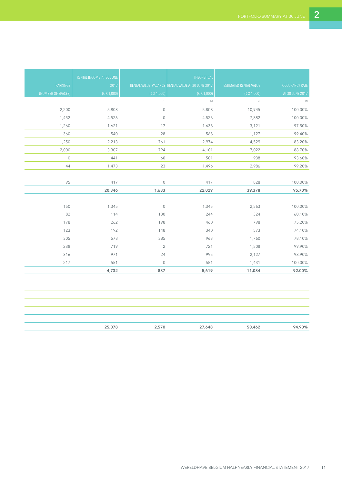|                    | RENTAL INCOME AT 30 JUNE |                | THEORETICAL                                       |                        |                       |
|--------------------|--------------------------|----------------|---------------------------------------------------|------------------------|-----------------------|
| PARKINGS           | 2017                     |                | RENTAL VALUE VACANCY RENTAL VALUE AT 30 JUNE 2017 | ESTIMATED RENTAL VALUE | <b>OCCUPANCY RATE</b> |
| (NUMBER OF SPACES) | (E X 1,000)              | (E X 1,000)    | (E X 1,000)                                       | (E X 1,000)            | AT 30 JUNE 2017       |
|                    |                          | (1)            | (2)                                               | (3)                    | (4)                   |
| 2,200              | 5,808                    | $\circ$        | 5,808                                             | 10,945                 | 100.00%               |
| 1,452              | 4,526                    | $\circ$        | 4,526                                             | 7,882                  | 100.00%               |
| 1,260              | 1,621                    | 17             | 1,638                                             | 3,121                  | 97.50%                |
| 360                | 540                      | 28             | 568                                               | 1,127                  | 99.40%                |
| 1,250              | 2,213                    | 761            | 2,974                                             | 4,529                  | 83.20%                |
| 2,000              | 3,307                    | 794            | 4,101                                             | 7,022                  | 88.70%                |
| $\circ$            | 441                      | 60             | 501                                               | 938                    | 93.60%                |
| 44                 | 1,473                    | 23             | 1,496                                             | 2,986                  | 99.20%                |
|                    |                          |                |                                                   |                        |                       |
| 95                 | 417                      | $\circ$        | 417                                               | 828                    | 100.00%               |
|                    | 20,346                   | 1,683          | 22,029                                            | 39,378                 | 95.70%                |
|                    |                          |                |                                                   |                        |                       |
| 150                | 1,345                    | $\circ$        | 1,345                                             | 2,563                  | 100.00%               |
| 82                 | 114                      | 130            | 244                                               | 324                    | 60.10%                |
| 178                | 262                      | 198            | 460                                               | 798                    | 75.20%                |
| 123                | 192                      | 148            | 340                                               | 573                    | 74.10%                |
| 305                | 578                      | 385            | 963                                               | 1,760                  | 78.10%                |
| 238                | 719                      | $\overline{2}$ | 721                                               | 1,508                  | 99.90%                |
| 316                | 971                      | 24             | 995                                               | 2,127                  | 98.90%                |
| 217                | 551                      | $\circ$        | 551                                               | 1,431                  | 100.00%               |
|                    | 4,732                    | 887            | 5,619                                             | 11,084                 | 92.00%                |
|                    |                          |                |                                                   |                        |                       |
|                    |                          |                |                                                   |                        |                       |
|                    |                          |                |                                                   |                        |                       |
|                    |                          |                |                                                   |                        |                       |
|                    |                          |                |                                                   |                        |                       |
|                    |                          |                |                                                   |                        |                       |

**25,078 2,570 27,648 50,462 94.90%**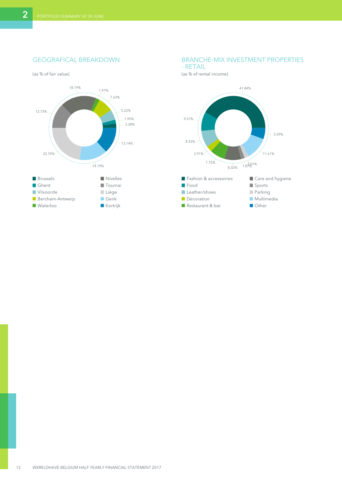#### <span id="page-13-1"></span><span id="page-13-0"></span>GEOGRAFICAL BREAKDOWN

(as % of fair value)



#### <span id="page-13-2"></span>BRANCHE-MIX INVESTMENT PROPERTIES

- RETAIL

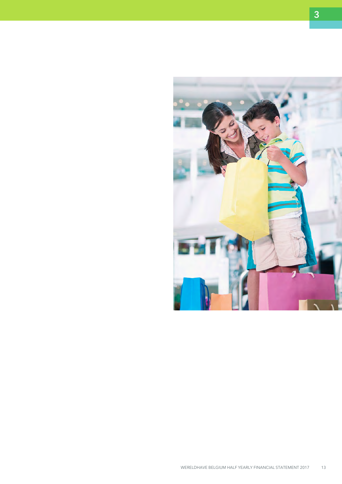<span id="page-14-0"></span>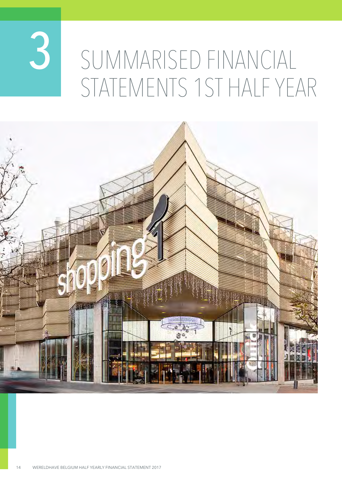## SUMMARISED FINANCIAL STATEMENTS 1ST HALF YEAR



3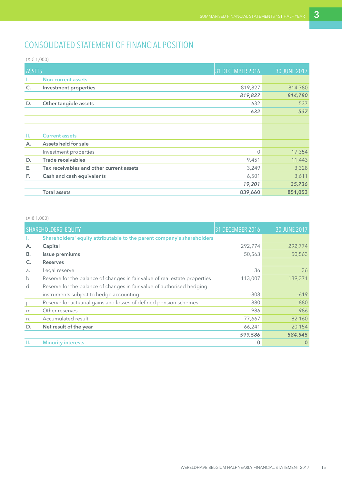## <span id="page-16-1"></span><span id="page-16-0"></span>CONSOLIDATED STATEMENT OF FINANCIAL POSITION

(X € 1,000)

| <b>ASSETS</b> |                                          | 31 DECEMBER 2016 | 30 JUNE 2017 |
|---------------|------------------------------------------|------------------|--------------|
| ъ.            | <b>Non-current assets</b>                |                  |              |
| C.            | Investment properties                    | 819,827          | 814,780      |
|               |                                          | 819,827          | 814,780      |
| D.            | Other tangible assets                    | 632              | 537          |
|               |                                          | 632              | 537          |
|               |                                          |                  |              |
| Ш.            | <b>Current assets</b>                    |                  |              |
| A.            | Assets held for sale                     |                  |              |
|               | Investment properties                    | 0                | 17,354       |
| D.            | Trade receivables                        | 9,451            | 11,443       |
| Е.            | Tax receivables and other current assets | 3,249            | 3,328        |
| F.            | Cash and cash equivalents                | 6,501            | 3,611        |
|               |                                          | 19,201           | 35,736       |
|               | <b>Total assets</b>                      | 839,660          | 851,053      |

|               | 31 DECEMBER 2016<br><b>SHAREHOLDERS' EQUITY</b>                            |         |                |
|---------------|----------------------------------------------------------------------------|---------|----------------|
| ъ.            | Shareholders' equity attributable to the parent company's shareholders     |         |                |
| А.            | Capital                                                                    | 292,774 | 292,774        |
| <b>B.</b>     | Issue premiums                                                             | 50,563  | 50,563         |
| $\mathsf{C}.$ | <b>Reserves</b>                                                            |         |                |
| a.            | Legal reserve                                                              | 36      | 36             |
| b.            | Reserve for the balance of changes in fair value of real estate properties | 113,007 | 139,371        |
| d.            | Reserve for the balance of changes in fair value of authorised hedging     |         |                |
|               | instruments subject to hedge accounting                                    | $-808$  | $-619$         |
| j.            | Reserve for actuarial gains and losses of defined pension schemes          | $-880$  | $-880$         |
| m.            | Other reserves                                                             | 986     | 986            |
| n.            | Accumulated result                                                         | 77,667  | 82,160         |
| D.            | Net result of the year                                                     | 66,241  | 20,154         |
|               |                                                                            | 599,586 | 584,545        |
| H.            | <b>Minority interests</b>                                                  | 0       | $\overline{0}$ |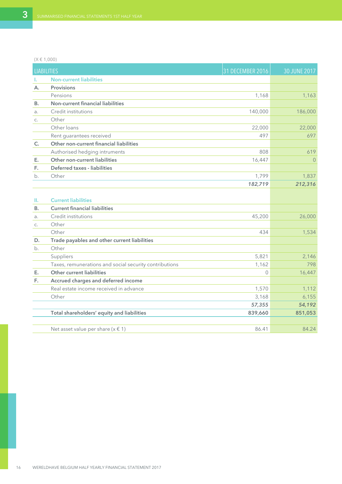| <b>LIABILITIES</b> |                                                        | 31 DECEMBER 2016 | 30 JUNE 2017 |
|--------------------|--------------------------------------------------------|------------------|--------------|
| T.                 | <b>Non-current liabilities</b>                         |                  |              |
| А.                 | <b>Provisions</b>                                      |                  |              |
|                    | Pensions                                               | 1,168            | 1,163        |
| <b>B.</b>          | Non-current financial liabilities                      |                  |              |
| a.                 | Credit institutions                                    | 140,000          | 186,000      |
| C.                 | Other                                                  |                  |              |
|                    | Other loans                                            | 22,000           | 22,000       |
|                    | Rent guarantees received                               | 497              | 697          |
| $C_{\cdot}$        | Other non-current financial liabilities                |                  |              |
|                    | Authorised hedging intruments                          | 808              | 619          |
| Ε.                 | Other non-current liabilities                          | 16,447           | $\bigcap$    |
| F.                 | Deferred taxes - liabilities                           |                  |              |
| $\mathsf{b}$ .     | Other                                                  | 1,799            | 1,837        |
|                    |                                                        | 182,719          | 212,316      |
|                    |                                                        |                  |              |
| Ш.                 | <b>Current liabilities</b>                             |                  |              |
| <b>B.</b>          | <b>Current financial liabilities</b>                   |                  |              |
| a.                 | Credit institutions                                    | 45,200           | 26,000       |
| C.                 | Other                                                  |                  |              |
|                    | Other                                                  | 434              | 1,534        |
| D.                 | Trade payables and other current liabilities           |                  |              |
| b.                 | Other                                                  |                  |              |
|                    | Suppliers                                              | 5,821            | 2,146        |
|                    | Taxes, remunerations and social security contributions | 1,162            | 798          |
| Е.                 | Other current liabilities                              | 0                | 16,447       |
| F.                 | Accrued charges and deferred income                    |                  |              |
|                    | Real estate income received in advance                 | 1,570            | 1,112        |
|                    | Other                                                  | 3,168            | 6,155        |
|                    |                                                        | 57,355           | 54,192       |
|                    | Total shareholders' equity and liabilities             | 839,660          | 851,053      |
|                    |                                                        |                  |              |
|                    | Net asset value per share ( $x \in 1$ )                | 86.41            | 84.24        |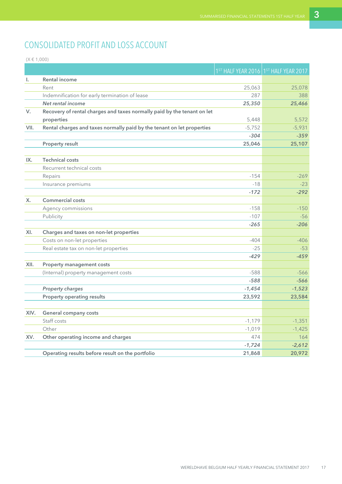## <span id="page-18-1"></span><span id="page-18-0"></span>CONSOLIDATED PROFIT AND LOSS ACCOUNT

|      |                                                                         |          | $1ST$ HALF YEAR 2016 $1ST$ HALF YEAR 2017 |
|------|-------------------------------------------------------------------------|----------|-------------------------------------------|
| Ι.   | <b>Rental income</b>                                                    |          |                                           |
|      | Rent                                                                    | 25,063   | 25,078                                    |
|      | Indemnification for early termination of lease                          | 287      | 388                                       |
|      | Net rental income                                                       | 25,350   | 25,466                                    |
| V.   | Recovery of rental charges and taxes normally paid by the tenant on let |          |                                           |
|      | properties                                                              | 5,448    | 5,572                                     |
| VII. | Rental charges and taxes normally paid by the tenant on let properties  | $-5,752$ | $-5,931$                                  |
|      |                                                                         | $-304$   | $-359$                                    |
|      | Property result                                                         | 25,046   | 25,107                                    |
|      |                                                                         |          |                                           |
| IX.  | <b>Technical costs</b>                                                  |          |                                           |
|      | Recurrent technical costs                                               |          |                                           |
|      | Repairs                                                                 | $-154$   | $-269$                                    |
|      | Insurance premiums                                                      | $-18$    | $-23$                                     |
|      |                                                                         | $-172$   | $-292$                                    |
| X.   | <b>Commercial costs</b>                                                 |          |                                           |
|      | Agency commissions                                                      | $-158$   | $-150$                                    |
|      | Publicity                                                               | $-107$   | $-56$                                     |
|      |                                                                         | $-265$   | $-206$                                    |
| XI.  | Charges and taxes on non-let properties                                 |          |                                           |
|      | Costs on non-let properties                                             | $-404$   | $-406$                                    |
|      | Real estate tax on non-let properties                                   | $-25$    | $-53$                                     |
|      |                                                                         | $-429$   | $-459$                                    |
| XII. | <b>Property management costs</b>                                        |          |                                           |
|      | (Internal) property management costs                                    | $-588$   | $-566$                                    |
|      |                                                                         | $-588$   | $-566$                                    |
|      | <b>Property charges</b>                                                 | $-1,454$ | $-1,523$                                  |
|      | Property operating results                                              | 23,592   | 23,584                                    |
| XIV. | <b>General company costs</b>                                            |          |                                           |
|      | Staff costs                                                             | $-1,179$ | $-1,351$                                  |
|      | Other                                                                   | $-1,019$ | $-1,425$                                  |
| XV.  | Other operating income and charges                                      | 474      | 164                                       |
|      |                                                                         | $-1,724$ | $-2,612$                                  |
|      | Operating results before result on the portfolio                        | 21,868   | 20,972                                    |
|      |                                                                         |          |                                           |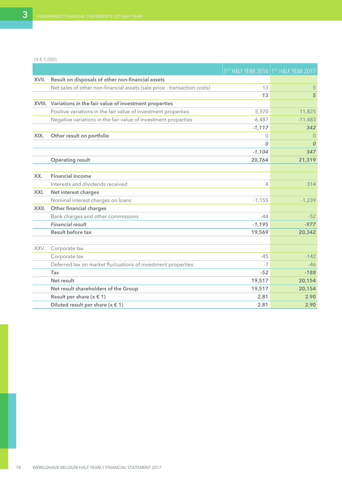|       |                                                                          |          | 1 <sup>ST</sup> HALF YEAR 2016 1 <sup>ST</sup> HALF YEAR 2017 |
|-------|--------------------------------------------------------------------------|----------|---------------------------------------------------------------|
| XVII. | Result on disposals of other non-financial assets                        |          |                                                               |
|       | Net sales of other non-financial assets (sale price - transaction costs) | 13       | 5                                                             |
|       |                                                                          | 13       | 5                                                             |
|       | XVIII. Variations in the fair value of investment properties             |          |                                                               |
|       | Positive variations in the fair value of investment properties           | 5,370    | 11,825                                                        |
|       | Negative variations in the fair value of investment properties           | $-6,487$ | $-11,483$                                                     |
|       |                                                                          | $-1,117$ | 342                                                           |
| XIX.  | Other result on portfolio                                                | $\Omega$ | $\Omega$                                                      |
|       |                                                                          | 0        | $\Omega$                                                      |
|       |                                                                          | $-1,104$ | 347                                                           |
|       | <b>Operating result</b>                                                  | 20,764   | 21,319                                                        |
| XX.   | <b>Financial income</b>                                                  |          |                                                               |
|       | Interests and dividends received                                         | 4        | 314                                                           |
| XXI.  | Net interest charges                                                     |          |                                                               |
|       | Nominal interest charges on loans                                        | $-1,155$ | $-1,239$                                                      |
| XXII. | Other financial charges                                                  |          |                                                               |
|       | Bank charges and other commissions                                       | -44      | $-52$                                                         |
|       | <b>Financial result</b>                                                  | $-1,195$ | $-977$                                                        |
|       | Result before tax                                                        | 19,569   | 20,342                                                        |
| XXV.  | Corporate tax                                                            |          |                                                               |
|       | Corporate tax                                                            | $-45$    | $-142$                                                        |
|       | Deferred tax on market fluctuations of investment properties             | $-7$     | $-46$                                                         |
|       | Tax                                                                      | $-52$    | $-188$                                                        |
|       | Net result                                                               | 19,517   | 20,154                                                        |
|       | Net result shareholders of the Group                                     | 19,517   | 20,154                                                        |
|       | Result per share ( $x \in 1$ )                                           | 2.81     | 2.90                                                          |
|       | Diluted result per share ( $x \notin 1$ )                                | 2.81     | 2.90                                                          |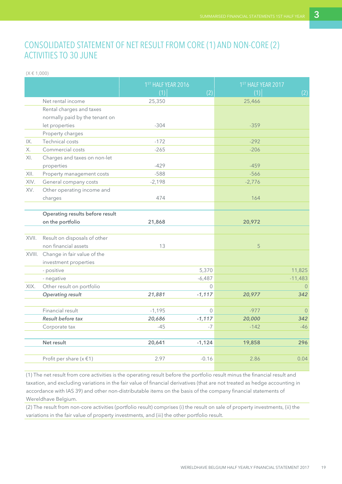## <span id="page-20-1"></span><span id="page-20-0"></span>CONSOLIDATED STATEMENT OF NET RESULT FROM CORE (1) AND NON-CORE (2) ACTIVITIES TO 30 JUNE

 $(X \in 1,000)$ 

|       |                                    | 1ST HALF YEAR 2016 |          | 1ST HALF YEAR 2017 |           |
|-------|------------------------------------|--------------------|----------|--------------------|-----------|
|       |                                    | (1)                | (2)      | (1)                | (2)       |
|       | Net rental income                  | 25,350             |          | 25,466             |           |
|       | Rental charges and taxes           |                    |          |                    |           |
|       | normally paid by the tenant on     |                    |          |                    |           |
|       | let properties                     | $-304$             |          | $-359$             |           |
|       | Property charges                   |                    |          |                    |           |
| IX.   | Technical costs                    | $-172$             |          | $-292$             |           |
| Х.    | Commercial costs                   | $-265$             |          | $-206$             |           |
| XL    | Charges and taxes on non-let       |                    |          |                    |           |
|       | properties                         | $-429$             |          | $-459$             |           |
| XII.  | Property management costs          | $-588$             |          | $-566$             |           |
| XIV.  | General company costs              | $-2,198$           |          | $-2,776$           |           |
| XV.   | Other operating income and         |                    |          |                    |           |
|       | charges                            | 474                |          | 164                |           |
|       |                                    |                    |          |                    |           |
|       | Operating results before result    |                    |          |                    |           |
|       | on the portfolio                   | 21,868             |          | 20,972             |           |
|       |                                    |                    |          |                    |           |
| XVII. | Result on disposals of other       |                    |          |                    |           |
|       | non financial assets               | 13                 |          | 5                  |           |
|       | XVIII. Change in fair value of the |                    |          |                    |           |
|       | investment properties              |                    |          |                    |           |
|       | - positive                         |                    | 5,370    |                    | 11,825    |
|       | - negative                         |                    | $-6,487$ |                    | $-11,483$ |
| XIX.  | Other result on portfolio          |                    | $\Omega$ |                    | $\theta$  |
|       | <b>Operating result</b>            | 21,881             | $-1,117$ | 20,977             | 342       |
|       |                                    |                    |          |                    |           |
|       | Financial result                   | $-1,195$           | $\Omega$ | $-977$             | $\bigcap$ |
|       | Result before tax                  | 20,686             | $-1,117$ | 20,000             | 342       |
|       | Corporate tax                      | $-45$              | $-7$     | $-142$             | $-46$     |
|       |                                    |                    |          |                    |           |
|       | Net result                         | 20,641             | $-1,124$ | 19,858             | 296       |
|       |                                    |                    |          |                    |           |
|       | Profit per share $(x \in 1)$       | 2.97               | $-0.16$  | 2.86               | 0.04      |
|       |                                    |                    |          |                    |           |

(1) The net result from core activities is the operating result before the portfolio result minus the financial result and taxation, and excluding variations in the fair value of financial derivatives (that are not treated as hedge accounting in accordance with IAS 39) and other non-distributable items on the basis of the company financial statements of Wereldhave Belgium.

(2) The result from non-core activities (portfolio result) comprises (i) the result on sale of property investments, (ii) the variations in the fair value of property investments, and (iii) the other portfolio result.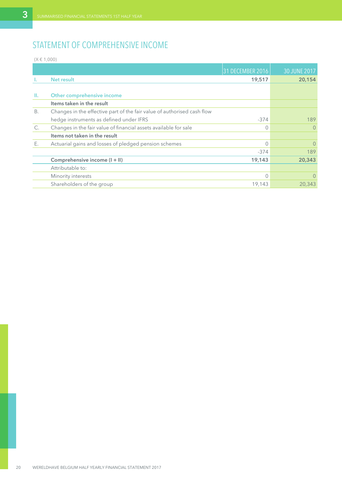## <span id="page-21-1"></span><span id="page-21-0"></span>STATEMENT OF COMPREHENSIVE INCOME

|    |                                                                         | 31 DECEMBER 2016 | 30 JUNE 2017 |
|----|-------------------------------------------------------------------------|------------------|--------------|
|    | <b>Net result</b>                                                       | 19,517           | 20,154       |
|    |                                                                         |                  |              |
| H. | Other comprehensive income                                              |                  |              |
|    | Items taken in the result                                               |                  |              |
| B. | Changes in the effective part of the fair value of authorised cash flow |                  |              |
|    | hedge instruments as defined under IFRS                                 | $-374$           | 189          |
| C. | Changes in the fair value of financial assets available for sale        | ∩                | $\bigcap$    |
|    | Items not taken in the result                                           |                  |              |
| Е. | Actuarial gains and losses of pledged pension schemes                   | $\Omega$         | $\bigcap$    |
|    |                                                                         | $-374$           | 189          |
|    | Comprehensive income (I + II)                                           | 19,143           | 20,343       |
|    | Attributable to:                                                        |                  |              |
|    | Minority interests                                                      | 0                | $\Omega$     |
|    | Shareholders of the group                                               | 19,143           | 20,343       |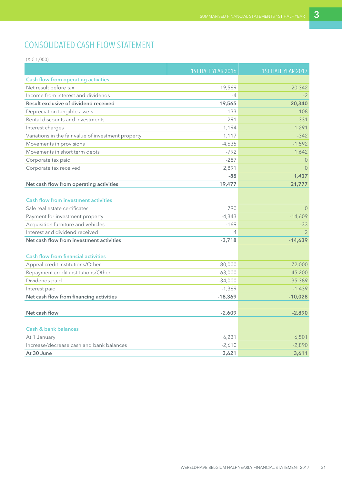## <span id="page-22-1"></span><span id="page-22-0"></span>CONSOLIDATED CASH FLOW STATEMENT

|                                                     | 1ST HALF YEAR 2016       | 1ST HALF YEAR 2017 |
|-----------------------------------------------------|--------------------------|--------------------|
| <b>Cash flow from operating activities</b>          |                          |                    |
| Net result before tax                               | 19,569                   | 20,342             |
| Income from interest and dividends                  | $-4$                     | $-2$               |
| Result exclusive of dividend received               | 19,565                   | 20,340             |
| Depreciation tangible assets                        | 133                      | 108                |
| Rental discounts and investments                    | 291                      | 331                |
| Interest charges                                    | 1,194                    | 1,291              |
| Variations in the fair value of investment property | 1,117                    | $-342$             |
| Movements in provisions                             | $-4,635$                 | $-1,592$           |
| Movements in short term debts                       | $-792$                   | 1,642              |
| Corporate tax paid                                  | $-287$                   | $\Omega$           |
| Corporate tax received                              | 2,891                    | $\bigcap$          |
|                                                     | $-88$                    | 1,437              |
| Net cash flow from operating activities             | 19,477                   | 21,777             |
| <b>Cash flow from investment activities</b>         |                          |                    |
| Sale real estate certificates                       | 790                      | $\bigcap$          |
| Payment for investment property                     | $-4,343$                 | $-14,609$          |
| Acquisition furniture and vehicles                  | $-169$                   | $-33$              |
| Interest and dividend received                      | $\overline{\mathcal{L}}$ | $\overline{2}$     |
| Net cash flow from investment activities            | $-3,718$                 | $-14,639$          |
| <b>Cash flow from financial activities</b>          |                          |                    |
| Appeal credit institutions/Other                    | 80,000                   | 72,000             |
| Repayment credit institutions/Other                 | $-63,000$                | $-45,200$          |
| Dividends paid                                      | $-34,000$                | $-35,389$          |
| Interest paid                                       | $-1,369$                 | $-1,439$           |
| Net cash flow from financing activities             | $-18,369$                | $-10,028$          |
|                                                     |                          |                    |
| Net cash flow                                       | $-2,609$                 | $-2,890$           |
| <b>Cash &amp; bank balances</b>                     |                          |                    |
| At 1 January                                        | 6,231                    | 6,501              |
| Increase/decrease cash and bank balances            | $-2,610$                 | $-2,890$           |
| At 30 June                                          | 3,621                    | 3,611              |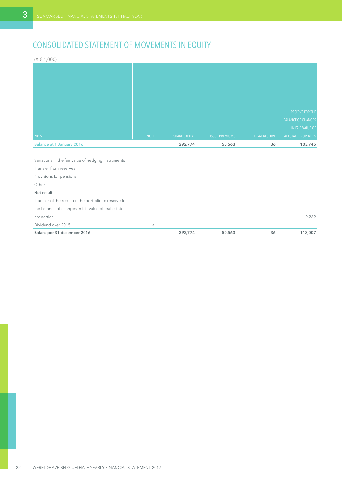## <span id="page-23-1"></span><span id="page-23-0"></span>CONSOLIDATED STATEMENT OF MOVEMENTS IN EQUITY

(X € 1,000)

|                                                     |             |                      |                       |               | <b>RESERVE FOR THE</b>        |
|-----------------------------------------------------|-------------|----------------------|-----------------------|---------------|-------------------------------|
|                                                     |             |                      |                       |               | <b>BALANCE OF CHANGES</b>     |
|                                                     |             |                      |                       |               | IN FAIR VALUE OF              |
| 2016                                                | <b>NOTE</b> | <b>SHARE CAPITAL</b> | <b>ISSUE PREMIUMS</b> | LEGAL RESERVE | <b>REAL ESTATE PROPERTIES</b> |
| <b>Balance at 1 January 2016</b>                    |             | 292,774              | 50,563                | 36            | 103,745                       |
|                                                     |             |                      |                       |               |                               |
|                                                     |             |                      |                       |               |                               |
| Variations in the fair value of hedging instruments |             |                      |                       |               |                               |

#### Transfer from reserves Provisions for pensions Other **Net result** Transfer of the result on the portfolio to reserve for the balance of changes in fair value of real estate properties and the contract of the contract of the contract of the contract of the contract of the contract of the contract of the contract of the contract of the contract of the contract of the contract of the contract of Dividend over 2015 a **Balans per 31 december 2016 292,774 50,563 36 113,007**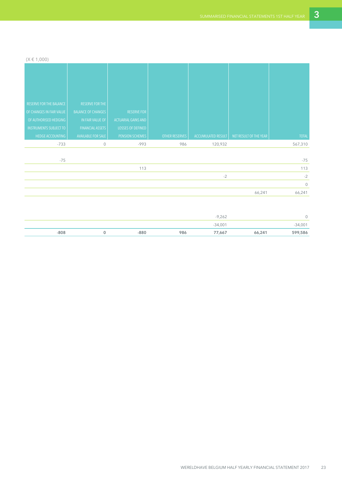| $(X \in 1,000)$                |                           |                          |                       |                    |                        |              |
|--------------------------------|---------------------------|--------------------------|-----------------------|--------------------|------------------------|--------------|
|                                |                           |                          |                       |                    |                        |              |
|                                |                           |                          |                       |                    |                        |              |
|                                |                           |                          |                       |                    |                        |              |
|                                |                           |                          |                       |                    |                        |              |
|                                |                           |                          |                       |                    |                        |              |
| <b>RESERVE FOR THE BALANCE</b> | <b>RESERVE FOR THE</b>    |                          |                       |                    |                        |              |
| OF CHANGES IN FAIR VALUE       | <b>BALANCE OF CHANGES</b> | <b>RESERVE FOR</b>       |                       |                    |                        |              |
| OF AUTHORISED HEDGING          | IN FAIR VALUE OF          | ACTUARIAL GAINS AND      |                       |                    |                        |              |
| <b>INSTRUMENTS SUBJECT TO</b>  | <b>FINANCIAL ASSETS</b>   | <b>LOSSES OF DEFINED</b> |                       |                    |                        |              |
|                                |                           |                          |                       |                    |                        |              |
| HEDGE ACCOUNTING               | <b>AVAILABLE FOR SALE</b> | PENSION SCHEMES          | <b>OTHER RESERVES</b> | ACCUMULATED RESULT | NET RESULT OF THE YEAR | <b>TOTAL</b> |
| $-733$                         | $\circ$                   | $-993$                   | 986                   | 120,932            |                        | 567,310      |
|                                |                           |                          |                       |                    |                        |              |
| $-75$                          |                           |                          |                       |                    |                        | $-75$        |
|                                |                           | 113                      |                       |                    |                        | 113          |
|                                |                           |                          |                       | $-2$               |                        | $-2$         |
|                                |                           |                          |                       |                    |                        | $\circ$      |
|                                |                           |                          |                       |                    | 66,241                 | 66,241       |

|        |        |     | $-9,262$  |        |           |
|--------|--------|-----|-----------|--------|-----------|
|        |        |     | $-34,001$ |        | $-34,001$ |
| $-808$ | $-880$ | 986 | 77,667    | 66,241 | 599,586   |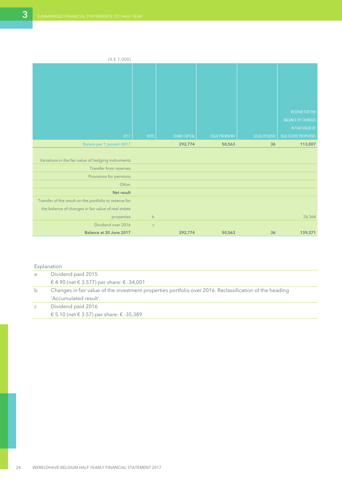| $(X \in 1,000)$                                        |             |                      |                       |                      |                           |
|--------------------------------------------------------|-------------|----------------------|-----------------------|----------------------|---------------------------|
|                                                        |             |                      |                       |                      |                           |
|                                                        |             |                      |                       |                      |                           |
|                                                        |             |                      |                       |                      |                           |
|                                                        |             |                      |                       |                      |                           |
|                                                        |             |                      |                       |                      |                           |
|                                                        |             |                      |                       |                      | <b>RESERVE FOR THE</b>    |
|                                                        |             |                      |                       |                      | <b>BALANCE OF CHANGES</b> |
|                                                        |             |                      |                       |                      | IN FAIR VALUE OF          |
| 2017                                                   | <b>NOTE</b> | <b>SHARE CAPITAL</b> | <b>ISSUE PREMIUMS</b> | <b>LEGAL RESERVE</b> | REAL ESTATE PROPERTIES    |
| Balans per 1 januari 2017                              |             | 292,774              | 50,563                | 36                   | 113,007                   |
|                                                        |             |                      |                       |                      |                           |
|                                                        |             |                      |                       |                      |                           |
| Variations in the fair value of hedging instruments    |             |                      |                       |                      |                           |
| Transfer from reserves                                 |             |                      |                       |                      |                           |
| Provisions for pensions                                |             |                      |                       |                      |                           |
| Other                                                  |             |                      |                       |                      |                           |
| Net result                                             |             |                      |                       |                      |                           |
| Transfer of the result on the portfolio to reserve for |             |                      |                       |                      |                           |
| the balance of changes in fair value of real estate    |             |                      |                       |                      |                           |
| properties                                             | $\mathbf b$ |                      |                       |                      | 26,364                    |
| Dividend over 2016                                     | $\mathsf C$ |                      |                       |                      |                           |

| $(X \in 1.000$ |  |  |  |
|----------------|--|--|--|
|                |  |  |  |
|                |  |  |  |

| Explanation  |                                                                                                         |
|--------------|---------------------------------------------------------------------------------------------------------|
| a            | Dividend paid 2015                                                                                      |
|              | € 4.90 (net € 3.577) per share: $\epsilon$ -34,001                                                      |
| b            | Changes in fair value of the investment properties portfolio over 2016. Reclassification of the heading |
|              | 'Accumulated result'.                                                                                   |
| $\mathsf{C}$ | Dividend paid 2016                                                                                      |
|              | € 5.10 (net € 3.57) per share: $€ -35,389$                                                              |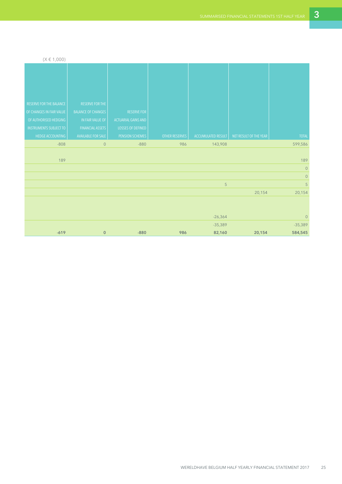| $(X \in 1,000)$               |                           |                            |                       |                    |                        |              |
|-------------------------------|---------------------------|----------------------------|-----------------------|--------------------|------------------------|--------------|
|                               |                           |                            |                       |                    |                        |              |
|                               |                           |                            |                       |                    |                        |              |
|                               |                           |                            |                       |                    |                        |              |
|                               |                           |                            |                       |                    |                        |              |
|                               |                           |                            |                       |                    |                        |              |
| RESERVE FOR THE BALANCE       | RESERVE FOR THE           |                            |                       |                    |                        |              |
| OF CHANGES IN FAIR VALUE      | <b>BALANCE OF CHANGES</b> | <b>RESERVE FOR</b>         |                       |                    |                        |              |
| OF AUTHORISED HEDGING         | IN FAIR VALUE OF          | <b>ACTUARIAL GAINS AND</b> |                       |                    |                        |              |
| <b>INSTRUMENTS SUBJECT TO</b> | <b>FINANCIAL ASSETS</b>   | <b>LOSSES OF DEFINED</b>   |                       |                    |                        |              |
| HEDGE ACCOUNTING              | AVAILABLE FOR SALE        | PENSION SCHEMES            | <b>OTHER RESERVES</b> | ACCUMULATED RESULT | NET RESULT OF THE YEAR | <b>TOTAL</b> |
| $-808$                        | $\mathbb O$               | $-880$                     | 986                   | 143,908            |                        | 599,586      |
|                               |                           |                            |                       |                    |                        |              |
| 189                           |                           |                            |                       |                    |                        | 189          |
|                               |                           |                            |                       |                    |                        | $\mathbf 0$  |
|                               |                           |                            |                       |                    |                        | $\mathbf 0$  |
|                               |                           |                            |                       | 5                  |                        | 5            |
|                               |                           |                            |                       |                    | 20,154                 | 20,154       |
|                               |                           |                            |                       |                    |                        |              |
|                               |                           |                            |                       |                    |                        |              |
|                               |                           |                            |                       | $-26,364$          |                        | $\theta$     |
|                               |                           |                            |                       | $-35,389$          |                        | $-35,389$    |
| $-619$                        | $\pmb{0}$                 | $-880$                     | 986                   | 82,160             | 20,154                 | 584,545      |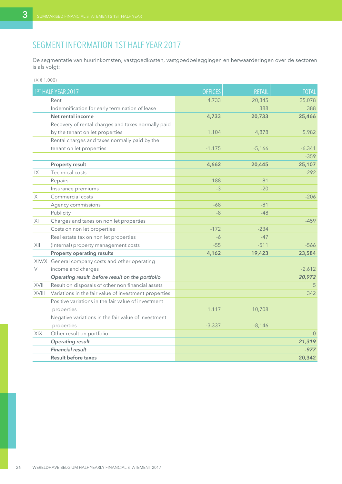## <span id="page-27-1"></span><span id="page-27-0"></span>SEGMENT INFORMATION 1ST HALF YEAR 2017

De segmentatie van huurinkomsten, vastgoedkosten, vastgoedbeleggingen en herwaarderingen over de sectoren is als volgt:

| $(X \in 1,000)$ |                                                       |                |               |              |
|-----------------|-------------------------------------------------------|----------------|---------------|--------------|
|                 | 1ST HALF YEAR 2017                                    | <b>OFFICES</b> | <b>RETAIL</b> | <b>TOTAL</b> |
|                 | Rent                                                  | 4,733          | 20,345        | 25,078       |
|                 | Indemnification for early termination of lease        |                | 388           | 388          |
|                 | Net rental income                                     | 4,733          | 20,733        | 25,466       |
|                 | Recovery of rental charges and taxes normally paid    |                |               |              |
|                 | by the tenant on let properties                       | 1,104          | 4,878         | 5,982        |
|                 | Rental charges and taxes normally paid by the         |                |               |              |
|                 | tenant on let properties                              | $-1,175$       | $-5,166$      | $-6,341$     |
|                 |                                                       |                |               | $-359$       |
|                 | Property result                                       | 4,662          | 20,445        | 25,107       |
| 1X              | Technical costs                                       |                |               | $-292$       |
|                 | Repairs                                               | $-188$         | $-81$         |              |
|                 | Insurance premiums                                    | $-3$           | $-20$         |              |
| X               | Commercial costs                                      |                |               | $-206$       |
|                 | Agency commissions                                    | $-68$          | $-81$         |              |
|                 | Publicity                                             | $-8$           | $-48$         |              |
| XI              | Charges and taxes on non let properties               |                |               | $-459$       |
|                 | Costs on non let properties                           | $-172$         | $-234$        |              |
|                 | Real estate tax on non let properties                 | $-6$           | $-47$         |              |
| X               | (Internal) property management costs                  | $-55$          | $-511$        | $-566$       |
|                 | <b>Property operating results</b>                     | 4,162          | 19,423        | 23,584       |
|                 | XIV/X General company costs and other operating       |                |               |              |
| $\vee$          | income and charges                                    |                |               | $-2,612$     |
|                 | Operating result before result on the portfolio       |                |               | 20,972       |
| XVII            | Result on disposals of other non financial assets     |                |               | 5            |
| <b>XVIII</b>    | Variations in the fair value of investment properties |                |               | 342          |
|                 | Positive variations in the fair value of investment   |                |               |              |
|                 | properties                                            | 1,117          | 10,708        |              |
|                 | Negative variations in the fair value of investment   |                |               |              |
|                 | properties                                            | $-3,337$       | $-8,146$      |              |
| XIX             | Other result on portfolio                             |                |               | $\Omega$     |
|                 | <b>Operating result</b>                               |                |               | 21,319       |
|                 | <b>Financial result</b>                               |                |               | $-977$       |
|                 | Result before taxes                                   |                |               | 20,342       |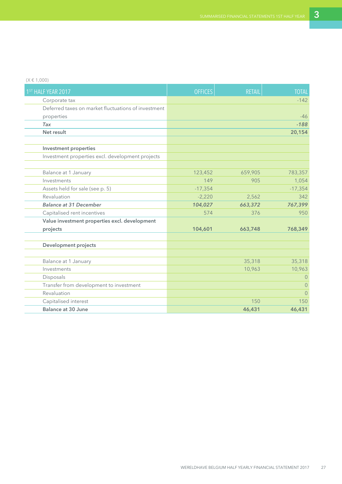| 1ST HALF YEAR 2017                                  | <b>OFFICES</b> | <b>RETAIL</b> | <b>TOTAL</b> |
|-----------------------------------------------------|----------------|---------------|--------------|
| Corporate tax                                       |                |               | $-142$       |
| Deferred taxes on market fluctuations of investment |                |               |              |
| properties                                          |                |               | $-46$        |
| Tax                                                 |                |               | $-188$       |
| Net result                                          |                |               | 20,154       |
|                                                     |                |               |              |
| <b>Investment properties</b>                        |                |               |              |
| Investment properties excl. development projects    |                |               |              |
|                                                     |                |               |              |
| Balance at 1 January                                | 123,452        | 659,905       | 783,357      |
| Investments                                         | 149            | 905           | 1,054        |
| Assets held for sale (see p. 5)                     | $-17,354$      |               | $-17,354$    |
| Revaluation                                         | $-2,220$       | 2,562         | 342          |
| <b>Balance at 31 December</b>                       | 104,027        | 663,372       | 767,399      |
| Capitalised rent incentives                         | 574            | 376           | 950          |
| Value investment properties excl. development       |                |               |              |
| projects                                            | 104,601        | 663,748       | 768,349      |
|                                                     |                |               |              |
| Development projects                                |                |               |              |
|                                                     |                |               |              |
| Balance at 1 January                                |                | 35,318        | 35,318       |
| Investments                                         |                | 10,963        | 10,963       |
| Disposals                                           |                |               | $\Omega$     |
| Transfer from development to investment             |                |               | $\Omega$     |
| Revaluation                                         |                |               | $\Omega$     |
| Capitalised interest                                |                | 150           | 150          |
| <b>Balance at 30 June</b>                           |                | 46,431        | 46,431       |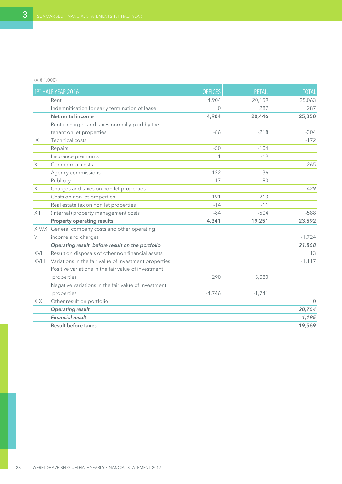|                | 1ST HALF YEAR 2016                                    | <b>OFFICES</b> | <b>RETAIL</b> | <b>TOTAL</b> |
|----------------|-------------------------------------------------------|----------------|---------------|--------------|
|                | Rent                                                  | 4,904          | 20,159        | 25,063       |
|                | Indemnification for early termination of lease        | $\cap$         | 287           | 287          |
|                | Net rental income                                     | 4,904          | 20,446        | 25,350       |
|                | Rental charges and taxes normally paid by the         |                |               |              |
|                | tenant on let properties                              | $-86$          | $-218$        | $-304$       |
| $\overline{1}$ | Technical costs                                       |                |               | $-172$       |
|                | Repairs                                               | $-50$          | $-104$        |              |
|                | Insurance premiums                                    |                | $-19$         |              |
| $\times$       | Commercial costs                                      |                |               | $-265$       |
|                | Agency commissions                                    | $-122$         | $-36$         |              |
|                | Publicity                                             | $-17$          | $-90$         |              |
| X <sub>l</sub> | Charges and taxes on non let properties               |                |               | $-429$       |
|                | Costs on non let properties                           | $-191$         | $-213$        |              |
|                | Real estate tax on non let properties                 | $-14$          | $-11$         |              |
| X              | (Internal) property management costs                  | $-84$          | $-504$        | $-588$       |
|                | <b>Property operating results</b>                     | 4,341          | 19,251        | 23,592       |
| XIV/X          | General company costs and other operating             |                |               |              |
| V              | income and charges                                    |                |               | $-1,724$     |
|                | Operating result before result on the portfolio       |                |               | 21,868       |
| XVII           | Result on disposals of other non financial assets     |                |               | 13           |
| XVIII          | Variations in the fair value of investment properties |                |               | $-1,117$     |
|                | Positive variations in the fair value of investment   |                |               |              |
|                | properties                                            | 290            | 5,080         |              |
|                | Negative variations in the fair value of investment   |                |               |              |
|                | properties                                            | $-4,746$       | $-1,741$      |              |
| <b>XIX</b>     | Other result on portfolio                             |                |               | $\bigcap$    |
|                | <b>Operating result</b>                               |                |               | 20,764       |
|                | <b>Financial result</b>                               |                |               | $-1,195$     |
|                | <b>Result before taxes</b>                            |                |               | 19,569       |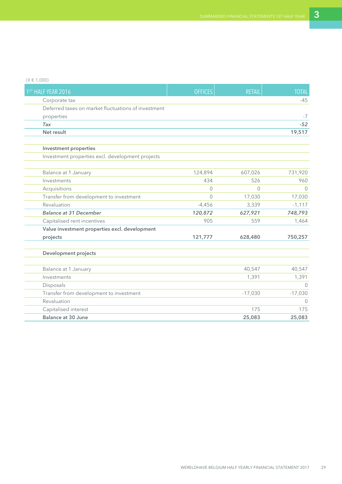| $(X \in 1,000)$ |  |  |  |
|-----------------|--|--|--|
|                 |  |  |  |

| 1 <sup>ST</sup> HALF YEAR 2016                      | <b>OFFICES</b> | <b>RETAIL</b> | <b>TOTAL</b> |
|-----------------------------------------------------|----------------|---------------|--------------|
| Corporate tax                                       |                |               | $-45$        |
| Deferred taxes on market fluctuations of investment |                |               |              |
| properties                                          |                |               | $-7$         |
| <b>Tax</b>                                          |                |               | $-52$        |
| Net result                                          |                |               | 19,517       |
| <b>Investment properties</b>                        |                |               |              |
| Investment properties excl. development projects    |                |               |              |
| Balance at 1 January                                | 124,894        | 607,026       | 731,920      |
| Investments                                         | 434            | 526           | 960          |
| Acquisitions                                        | $\Omega$       | $\Omega$      | $\Omega$     |
| Transfer from development to investment             | $\Omega$       | 17,030        | 17,030       |
| Revaluation                                         | $-4,456$       | 3,339         | $-1,117$     |
| <b>Balance at 31 December</b>                       | 120,872        | 627,921       | 748,793      |
| Capitalised rent incentives                         | 905            | 559           | 1,464        |
| Value investment properties excl. development       |                |               |              |
| projects                                            | 121,777        | 628,480       | 750,257      |
| Development projects                                |                |               |              |
| Balance at 1 January                                |                | 40,547        | 40,547       |
| Investments                                         |                | 1,391         | 1,391        |
| Disposals                                           |                |               | $\bigcap$    |
| Transfer from development to investment             |                | $-17,030$     | $-17,030$    |
| Revaluation                                         |                |               | $\Omega$     |
| Capitalised interest                                |                | 175           | 175          |
| <b>Balance at 30 June</b>                           |                | 25,083        | 25,083       |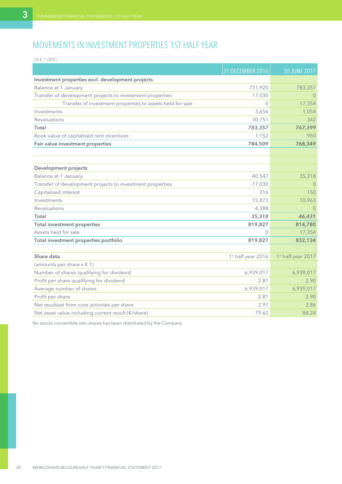## <span id="page-31-1"></span><span id="page-31-0"></span>MOVEMENTS IN INVESTMENT PROPERTIES 1ST HALF YEAR

| $(X \in 1,000)$ |  |
|-----------------|--|
|-----------------|--|

|                                                           | 31 DECEMBER 2016   | 30 JUNE 2017       |
|-----------------------------------------------------------|--------------------|--------------------|
| Investment properties excl. development projects          |                    |                    |
| Balance at 1 January                                      | 731,920            | 783,357            |
| Transfer of development projects to investment properties | 17,030             |                    |
| Transfer of investment properties to assets held for sale | $\Omega$           | $-17,354$          |
| Investments                                               | 3,656              | 1,054              |
| Revaluations                                              | 30,751             | 342                |
| <b>Total</b>                                              | 783,357            | 767,399            |
| Book value of capitalised rent incentives                 | 1,152              | 950                |
| Fair value investment properties                          | 784,509            | 768,349            |
|                                                           |                    |                    |
| Development projects                                      |                    |                    |
| Balance at 1 January                                      | 40,547             | 35,318             |
| Transfer of development projects to investment properties | $-17,030$          | $\bigcap$          |
| Capitalised interest                                      | 316                | 150                |
| Investments                                               | 15,873             | 10,963             |
| Revaluations                                              | $-4,388$           | $\bigcap$          |
| Total                                                     | 35,318             | 46,431             |
| <b>Total investment properties</b>                        | 819,827            | 814,780            |
| Assets held for sale                                      | $\Omega$           | 17,354             |
| Total investment properties portfolio                     | 819,827            | 832,134            |
|                                                           |                    |                    |
| Share data                                                | 1st half year 2016 | 1st half year 2017 |
| (amounts per share $x \in 1$ )                            |                    |                    |
| Number of shares qualifying for dividend                  | 6,939,017          | 6,939,017          |
| Profit per share qualifying for dividend                  | 2.81               | 2.90               |
| Average number of shares                                  | 6,939,017          | 6,939,017          |
| Profit per share                                          | 2.81               | 2.90               |
| Net resultaat from core activities per share              | 2.97               | 2.86               |
| Net asset value including current result (€/share)        | 79.62              | 84.24              |

No stocks convertible into shares has been distributed by the Company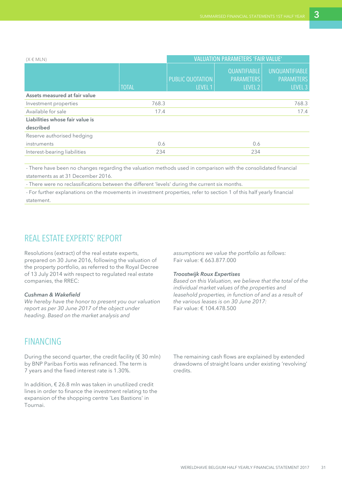<span id="page-32-1"></span>

| $(X \in \mathsf{MLN})$          |              | <b>VALUATION PARAMETERS 'FAIR VALUE'</b> |                                                     |                                                       |  |
|---------------------------------|--------------|------------------------------------------|-----------------------------------------------------|-------------------------------------------------------|--|
|                                 | <b>TOTAL</b> | PUBLIC QUOTATION<br>LEVEL 1              | <b>QUANTIFIABLE</b><br><b>PARAMETERS</b><br>LEVEL 2 | <b>UNQUANTIFIABLE</b><br><b>PARAMETERS</b><br>LEVEL 3 |  |
| Assets measured at fair value   |              |                                          |                                                     |                                                       |  |
| Investment properties           | 768.3        |                                          |                                                     | 768.3                                                 |  |
| Available for sale              | 17.4         |                                          |                                                     | 17.4                                                  |  |
| Liabilities whose fair value is |              |                                          |                                                     |                                                       |  |
| described                       |              |                                          |                                                     |                                                       |  |
| Reserve authorised hedging      |              |                                          |                                                     |                                                       |  |
| instruments                     | 0.6          |                                          | 0.6                                                 |                                                       |  |
| Interest-bearing liabilities    | 234          |                                          | 234                                                 |                                                       |  |

- There have been no changes regarding the valuation methods used in comparison with the consolidated financial statements as at 31 December 2016.

- There were no reclassifications between the different 'levels' during the current six months.

- For further explanations on the movements in investment properties, refer to section 1 of this half yearly financial statement.

## <span id="page-32-0"></span>REAL ESTATE EXPERTS' REPORT

Resolutions (extract) of the real estate experts, prepared on 30 June 2016, following the valuation of the property portfolio, as referred to the Royal Decree of 13 July 2014 with respect to regulated real estate companies, the RREC:

#### *Cushman & Wakefield*

*We hereby have the honor to present you our valuation report as per 30 June 2017 of the object under heading. Based on the market analysis and*

### <span id="page-32-2"></span>FINANCING

During the second quarter, the credit facility ( $\epsilon$  30 mln) by BNP Paribas Fortis was refinanced. The term is 7 years and the fixed interest rate is 1.30%.

In addition,  $\epsilon$  26.8 mln was taken in unutilized credit lines in order to finance the investment relating to the expansion of the shopping centre 'Les Bastions' in Tournai.

*assumptions we value the portfolio as follows:* Fair value: € 663.877.000

#### *Troostwijk Roux Expertises*

*Based on this Valuation, we believe that the total of the individual market values of the properties and leasehold properties, in function of and as a result of the various leases is on 30 June 2017:* Fair value: € 104.478.500

The remaining cash flows are explained by extended drawdowns of straight loans under existing 'revolving' credits.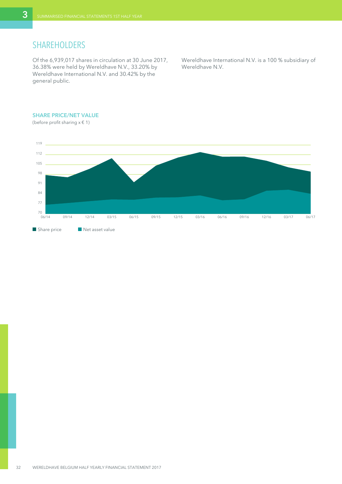## <span id="page-33-1"></span><span id="page-33-0"></span>SHAREHOLDERS

Of the 6,939,017 shares in circulation at 30 June 2017, 36.38% were held by Wereldhave N.V., 33.20% by Wereldhave International N.V. and 30.42% by the general public.

Wereldhave International N.V. is a 100 % subsidiary of Wereldhave N.V.

#### **SHARE PRICE/NET VALUE**

119 112 105 98 91 84 77  $70$ <br> $06/14$ 06/14 09/14 12/14 03/15 06/15 09/15 12/15 03/16 06/16 09/16 12/16 03/17 06/17 Share price **Net asset value** 

(before profit sharing  $x \in 1$ )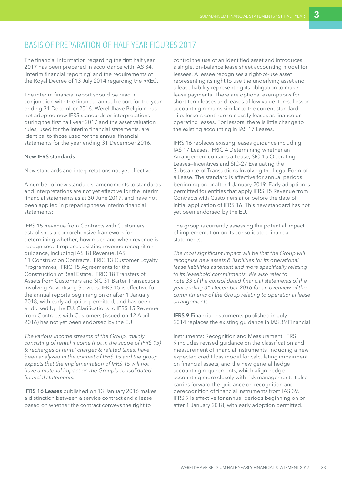## <span id="page-34-1"></span><span id="page-34-0"></span>BASIS OF PREPARATION OF HALF YEAR FIGURES 2017

The financial information regarding the first half year 2017 has been prepared in accordance with IAS 34, 'Interim financial reporting' and the requirements of the Royal Decree of 13 July 2014 regarding the RREC.

The interim financial report should be read in conjunction with the financial annual report for the year ending 31 December 2016. Wereldhave Belgium has not adopted new IFRS standards or interpretations during the first half year 2017 and the asset valuation rules, used for the interim financial statements, are identical to those used for the annual financial statements for the year ending 31 December 2016.

#### **New IFRS standards**

New standards and interpretations not yet effective

A number of new standards, amendments to standards and interpretations are not yet effective for the interim financial statements as at 30 June 2017, and have not been applied in preparing these interim financial statements:

IFRS 15 Revenue from Contracts with Customers, establishes a comprehensive framework for determining whether, how much and when revenue is recognised. It replaces existing revenue recognition guidance, including IAS 18 Revenue, IAS 11 Construction Contracts, IFRIC 13 Customer Loyalty Programmes, IFRIC 15 Agreements for the Construction of Real Estate, IFRIC 18 Transfers of Assets from Customers and SIC 31 Barter Transactions Involving Advertising Services. IFRS 15 is effective for the annual reports beginning on or after 1 January 2018, with early adoption permitted, and has been endorsed by the EU. Clarifications to IFRS 15 Revenue from Contracts with Customers (issued on 12 April 2016) has not yet been endorsed by the EU.

*The various income streams of the Group, mainly consisting of rental income (not in the scope of IFRS 15) & recharges of rental charges & related taxes, have been analyzed in the context of IFRS 15 and the group expects that the implementation of IFRS 15 will not have a material impact on the Group's consolidated financial statements.*

**IFRS 16 Leases** published on 13 January 2016 makes a distinction between a service contract and a lease based on whether the contract conveys the right to

control the use of an identified asset and introduces a single, on-balance lease sheet accounting model for lessees. A lessee recognises a right-of-use asset representing its right to use the underlying asset and a lease liability representing its obligation to make lease payments. There are optional exemptions for short-term leases and leases of low value items. Lessor accounting remains similar to the current standard – i.e. lessors continue to classify leases as finance or operating leases. For lessors, there is little change to the existing accounting in IAS 17 Leases.

IFRS 16 replaces existing leases guidance including IAS 17 Leases, IFRIC 4 Determining whether an Arrangement contains a Lease, SIC-15 Operating Leases—Incentives and SIC-27 Evaluating the Substance of Transactions Involving the Legal Form of a Lease. The standard is effective for annual periods beginning on or after 1 January 2019. Early adoption is permitted for entities that apply IFRS 15 Revenue from Contracts with Customers at or before the date of initial application of IFRS 16. This new standard has not yet been endorsed by the EU.

The group is currently assessing the potential impact of implementation on its consolidated financial statements.

*The most significant impact will be that the Group will recognise new assets & liabilities for its operational lease liabilities as tenant and more specifically relating to its leasehold commitments. We also refer to note 33 of the consolidated financial statements of the year ending 31 December 2016 for an overview of the commitments of the Group relating to operational lease arrangements.*

**IFRS 9** Financial Instruments published in July 2014 replaces the existing guidance in IAS 39 Financial

Instruments: Recognition and Measurement. IFRS 9 includes revised guidance on the classification and measurement of financial instruments, including a new expected credit loss model for calculating impairment on financial assets, and the new general hedge accounting requirements, which align hedge accounting more closely with risk management. It also carries forward the guidance on recognition and derecognition of financial instruments from IAS 39. IFRS 9 is effective for annual periods beginning on or after 1 January 2018, with early adoption permitted.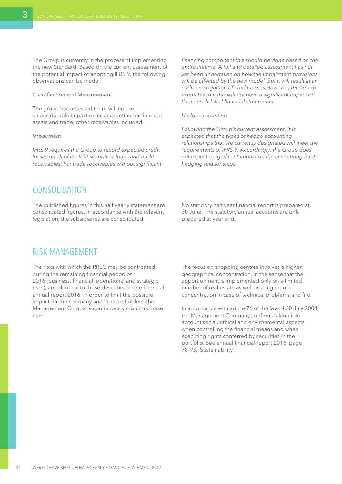<span id="page-35-1"></span>The Group is currently in the process of implementing the new Standard. Based on the current assessment of the potential impact of adopting IFRS 9, the following observations can be made:

Classification and Measurement

The group has assessed there will not be a considerable impact on its accounting for financial assets and trade, other receivables included.

#### *Impairment*

*IFRS 9 requires the Group to record expected credit losses on all of its debt securities, loans and trade receivables. For trade receivables without significant* *financing component this should be done based on the entire lifetime. A full and detailed assessment has not yet been undertaken on how the impairment provisions will be affected by the new model, but it will result in an earlier recognition of credit losses.However, the Group estimates that this will not have a significant impact on the consolidated financial statements.*

*Hedge accounting*

*Following the Group's current assessment, it is expected that the types of hedge accounting relationships that are currently designated will meet the requirements of IFRS 9. Accordingly, the Group does not expect a significant impact on the accounting for its hedging relationships.*

### <span id="page-35-0"></span>**CONSOLIDATION**

The published figures in this half yearly statement are consolidated figures. In accordance with the relevant legislation, the subsidiaries are consolidated.

No statutory half year financial report is prepared at 30 June. The statutory annual accounts are only prepared at year end.

#### <span id="page-35-2"></span>RISK MANAGEMENT

The risks with which the RREC may be confronted during the remaining financial period of 2016 (business, financial, operational and strategic risks), are identical to those described in the financial annual report 2016. In order to limit the possible impact for the company and its shareholders, the Management Company continuously monitors these risks.

The focus on shopping centres involves a higher geographical concentration, in the sense that the apportionment is implemented only on a limited number of real estate as well as a higher risk concentration in case of technical problems and fire.

In accordance with article 76 of the law of 20 July 2004, the Management Company confirms taking into account social, ethical and environmental aspects when controlling the financial means and when executing rights conferred by securities in the portfolio. See annual financial report 2016, page 78-93, 'Sustainability'.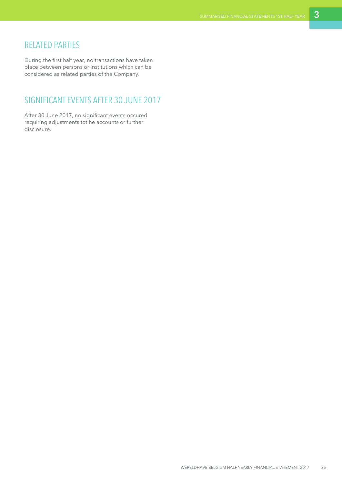## <span id="page-36-1"></span><span id="page-36-0"></span>RELATED PARTIES

During the first half year, no transactions have taken place between persons or institutions which can be considered as related parties of the Company.

## <span id="page-36-2"></span>SIGNIFICANT EVENTS AFTER 30 JUNE 2017

After 30 June 2017, no significant events occured requiring adjustments tot he accounts or further disclosure.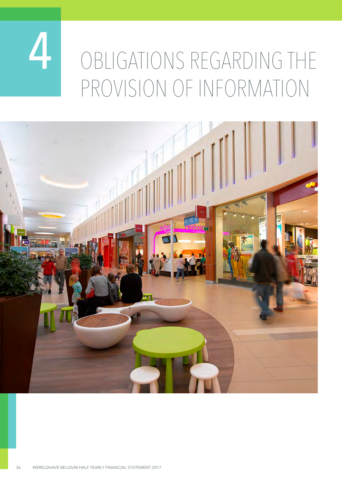<span id="page-37-0"></span>

## OBLIGATIONS REGARDING THE PROVISION OF INFORMATION

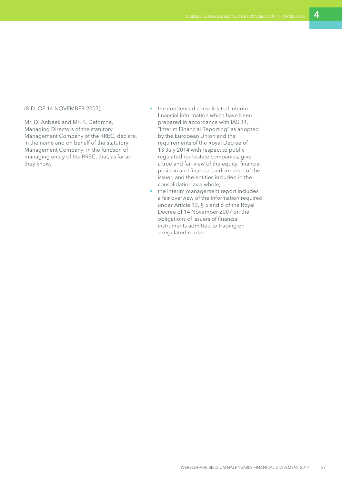#### (R.D. OF 14 NOVEMBER 2007)

Mr. D. Anbeek and Mr. K. Deforche, Managing Directors of the statutory Management Company of the RREC, declare, in the name and on behalf of the statutory Management Company, in the function of managing entity of the RREC, that, as far as they know,

- the condensed consolidated interim financial information which have been prepared in accordance with IAS 34, "Interim Financial Reporting" as adopted by the European Union and the requirements of the Royal Decree of 13 July 2014 with respect to public regulated real estate companies, give a true and fair view of the equity, financial position and financial performance of the issuer, and the entities included in the consolidation as a whole; •
- the interim management report includes a fair overview of the information required under Article 13, § 5 and 6 of the Royal Decree of 14 November 2007 on the obligations of issuers of financial instruments admitted to trading on a regulated market. •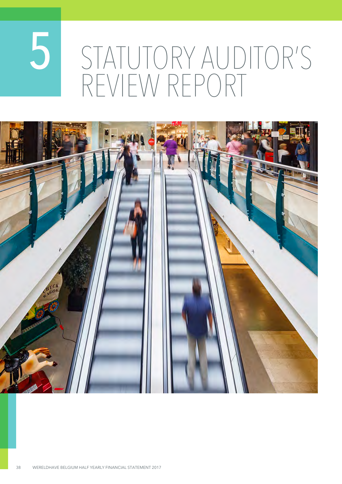<span id="page-39-0"></span>5

## STATUTORY AUDITOR'S REVIEW REPORT